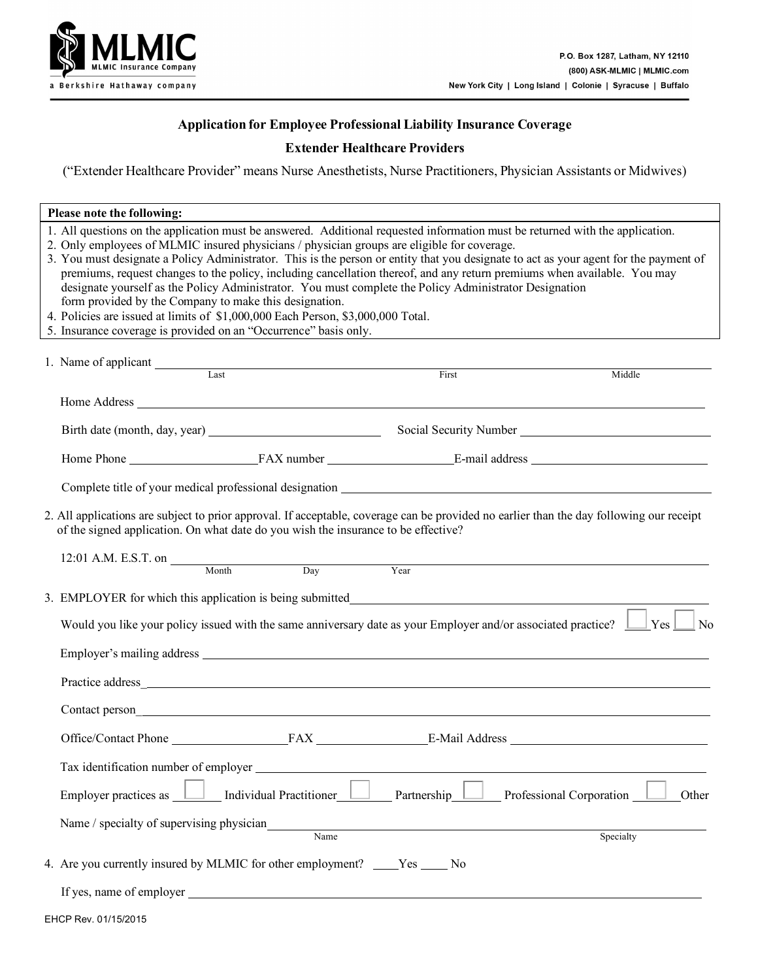

### **Application for Employee Professional Liability Insurance Coverage**

### **Extender Healthcare Providers**

("Extender Healthcare Provider" means Nurse Anesthetists, Nurse Practitioners, Physician Assistants or Midwives)

| Please note the following:                                                                                                                                                                                                                                                                                                                                                                                                                                                                                                                                                                                                                                                          |                                |                    |                                                                                                                                       |  |  |  |
|-------------------------------------------------------------------------------------------------------------------------------------------------------------------------------------------------------------------------------------------------------------------------------------------------------------------------------------------------------------------------------------------------------------------------------------------------------------------------------------------------------------------------------------------------------------------------------------------------------------------------------------------------------------------------------------|--------------------------------|--------------------|---------------------------------------------------------------------------------------------------------------------------------------|--|--|--|
| 1. All questions on the application must be answered. Additional requested information must be returned with the application.<br>2. Only employees of MLMIC insured physicians / physician groups are eligible for coverage.<br>premiums, request changes to the policy, including cancellation thereof, and any return premiums when available. You may<br>designate yourself as the Policy Administrator. You must complete the Policy Administrator Designation<br>form provided by the Company to make this designation.<br>4. Policies are issued at limits of \$1,000,000 Each Person, \$3,000,000 Total.<br>5. Insurance coverage is provided on an "Occurrence" basis only. |                                |                    | 3. You must designate a Policy Administrator. This is the person or entity that you designate to act as your agent for the payment of |  |  |  |
| 1. Name of applicant Last                                                                                                                                                                                                                                                                                                                                                                                                                                                                                                                                                                                                                                                           |                                | $\overline{First}$ | Middle                                                                                                                                |  |  |  |
|                                                                                                                                                                                                                                                                                                                                                                                                                                                                                                                                                                                                                                                                                     |                                |                    |                                                                                                                                       |  |  |  |
|                                                                                                                                                                                                                                                                                                                                                                                                                                                                                                                                                                                                                                                                                     |                                |                    | Birth date (month, day, year) Social Security Number ____________________________                                                     |  |  |  |
|                                                                                                                                                                                                                                                                                                                                                                                                                                                                                                                                                                                                                                                                                     |                                |                    |                                                                                                                                       |  |  |  |
|                                                                                                                                                                                                                                                                                                                                                                                                                                                                                                                                                                                                                                                                                     |                                |                    |                                                                                                                                       |  |  |  |
| 2. All applications are subject to prior approval. If acceptable, coverage can be provided no earlier than the day following our receipt<br>of the signed application. On what date do you wish the insurance to be effective?<br>12:01 A.M. E.S.T. on $\frac{\text{Month}}{\text{Month}}$ Day                                                                                                                                                                                                                                                                                                                                                                                      |                                | Year               |                                                                                                                                       |  |  |  |
|                                                                                                                                                                                                                                                                                                                                                                                                                                                                                                                                                                                                                                                                                     |                                |                    |                                                                                                                                       |  |  |  |
| 3. EMPLOYER for which this application is being submitted_                                                                                                                                                                                                                                                                                                                                                                                                                                                                                                                                                                                                                          |                                |                    |                                                                                                                                       |  |  |  |
| Would you like your policy issued with the same anniversary date as your Employer and/or associated practice? $\Box$ Yes<br>$\Box$ No                                                                                                                                                                                                                                                                                                                                                                                                                                                                                                                                               |                                |                    |                                                                                                                                       |  |  |  |
|                                                                                                                                                                                                                                                                                                                                                                                                                                                                                                                                                                                                                                                                                     |                                |                    |                                                                                                                                       |  |  |  |
| Practice address and the state of the state of the state of the state of the state of the state of the state of the state of the state of the state of the state of the state of the state of the state of the state of the st                                                                                                                                                                                                                                                                                                                                                                                                                                                      |                                |                    |                                                                                                                                       |  |  |  |
|                                                                                                                                                                                                                                                                                                                                                                                                                                                                                                                                                                                                                                                                                     |                                |                    |                                                                                                                                       |  |  |  |
|                                                                                                                                                                                                                                                                                                                                                                                                                                                                                                                                                                                                                                                                                     |                                |                    | Office/Contact Phone FAX E-Mail Address                                                                                               |  |  |  |
| Tax identification number of employer                                                                                                                                                                                                                                                                                                                                                                                                                                                                                                                                                                                                                                               |                                |                    |                                                                                                                                       |  |  |  |
| Employer practices as                                                                                                                                                                                                                                                                                                                                                                                                                                                                                                                                                                                                                                                               | <b>Individual Practitioner</b> | Partnership        | Professional Corporation<br>Other                                                                                                     |  |  |  |
| Name / specialty of supervising physician                                                                                                                                                                                                                                                                                                                                                                                                                                                                                                                                                                                                                                           | Name                           |                    | Specialty                                                                                                                             |  |  |  |
| 4. Are you currently insured by MLMIC for other employment? Yes No                                                                                                                                                                                                                                                                                                                                                                                                                                                                                                                                                                                                                  |                                |                    |                                                                                                                                       |  |  |  |
|                                                                                                                                                                                                                                                                                                                                                                                                                                                                                                                                                                                                                                                                                     |                                |                    |                                                                                                                                       |  |  |  |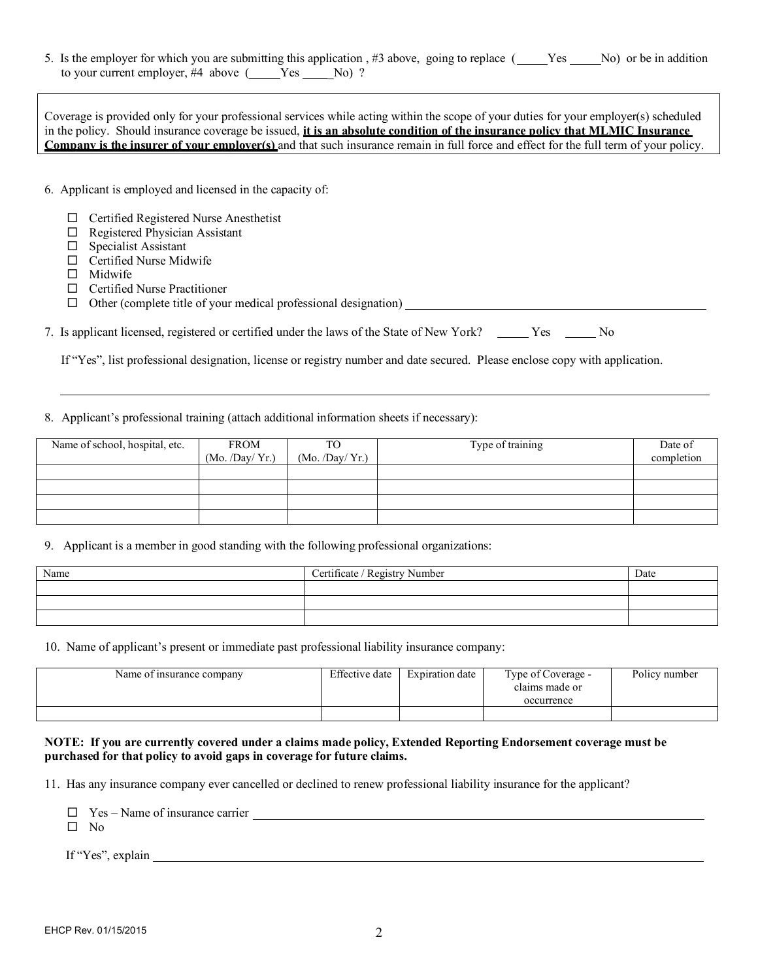5. Is the employer for which you are submitting this application, #3 above, going to replace (
Wes 
No) or be in addition to your current employer, #4 above (Case Ses Company No) ?

Coverage is provided only for your professional services while acting within the scope of your duties for your employer(s) scheduled in the policy. Should insurance coverage be issued, **it is an absolute condition of the insurance policy that MLMIC Insurance Company is the insurer of your employer(s)** and that such insurance remain in full force and effect for the full term of your policy.

- 6. Applicant is employed and licensed in the capacity of:
	- $\Box$  Certified Registered Nurse Anesthetist
	- $\Box$  Registered Physician Assistant
	- Specialist Assistant
	- □ Certified Nurse Midwife
	- $\Box$  Midwife
	- Certified Nurse Practitioner
	- $\Box$  Other (complete title of your medical professional designation)  $\Box$

| 7. Is applicant licensed, registered or certified under the laws of the State of New York? |  |  | Yes | N <sub>0</sub> |
|--------------------------------------------------------------------------------------------|--|--|-----|----------------|
|                                                                                            |  |  |     |                |

If "Yes", list professional designation, license or registry number and date secured. Please enclose copy with application.

#### 8. Applicant's professional training (attach additional information sheets if necessary):

| Name of school, hospital, etc. | FROM<br>(Mo. /Day / Yr.) | TO<br>(Mo. /Day / Yr.) | Type of training | Date of<br>completion |
|--------------------------------|--------------------------|------------------------|------------------|-----------------------|
|                                |                          |                        |                  |                       |
|                                |                          |                        |                  |                       |
|                                |                          |                        |                  |                       |
|                                |                          |                        |                  |                       |

9. Applicant is a member in good standing with the following professional organizations:

| Name | Certificate / Registry Number | Date |
|------|-------------------------------|------|
|      |                               |      |
|      |                               |      |
|      |                               |      |

10. Name of applicant's present or immediate past professional liability insurance company:

| Name of insurance company | Effective date | Expiration date | Type of Coverage -<br>claims made or<br>occurrence | Policy number |
|---------------------------|----------------|-----------------|----------------------------------------------------|---------------|
|                           |                |                 |                                                    |               |

#### **NOTE: If you are currently covered under a claims made policy, Extended Reporting Endorsement coverage must be purchased for that policy to avoid gaps in coverage for future claims.**

11. Has any insurance company ever cancelled or declined to renew professional liability insurance for the applicant?

Yes – Name of insurance carrier

 $\square$  No

If "Yes", explain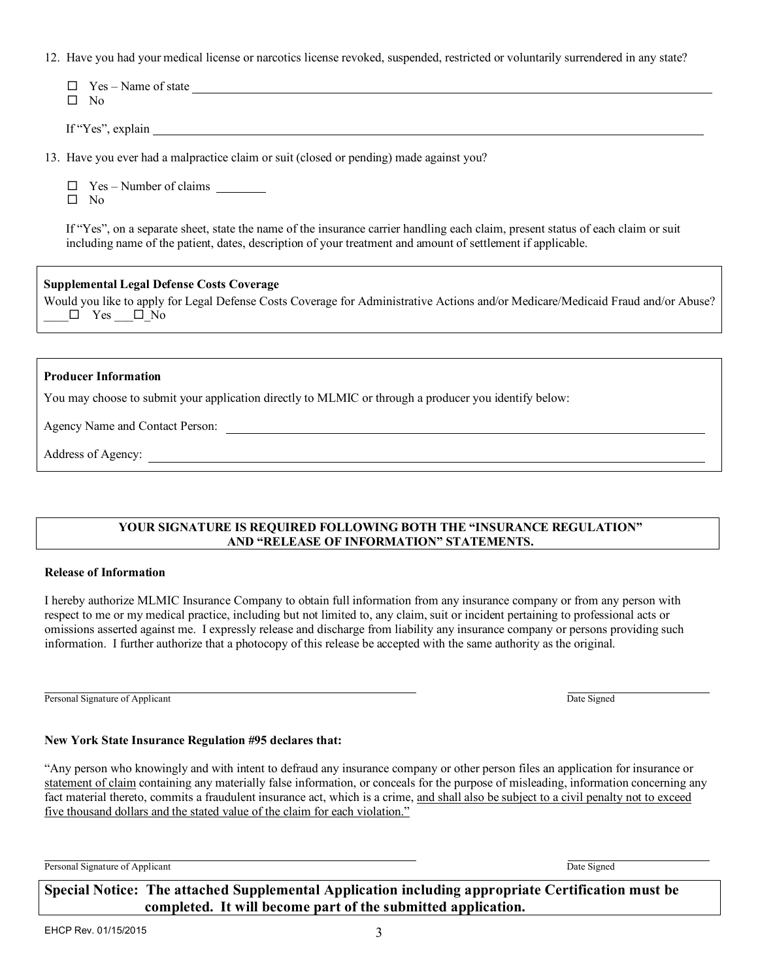EHCP Rev. 01/15/2015 3

|  |  |  |  |  | 12. Have you had your medical license or narcotics license revoked, suspended, restricted or voluntarily surrendered in any state? |  |
|--|--|--|--|--|------------------------------------------------------------------------------------------------------------------------------------|--|

| If "Yes", explain                                                                                                                                                                                                                               |  |  |  |  |  |  |
|-------------------------------------------------------------------------------------------------------------------------------------------------------------------------------------------------------------------------------------------------|--|--|--|--|--|--|
| 13. Have you ever had a malpractice claim or suit (closed or pending) made against you?                                                                                                                                                         |  |  |  |  |  |  |
| Yes – Number of claims<br>⊔<br>N <sub>0</sub><br>П.                                                                                                                                                                                             |  |  |  |  |  |  |
| If "Yes", on a separate sheet, state the name of the insurance carrier handling each claim, present status of each claim or suit<br>including name of the patient, dates, description of your treatment and amount of settlement if applicable. |  |  |  |  |  |  |
| <b>Supplemental Legal Defense Costs Coverage</b><br>Would you like to apply for Legal Defense Costs Coverage for Administrative Actions and/or Medicare/Medicaid Fraud and/or Abuse?<br>$\Box$ Yes $\Box$ No                                    |  |  |  |  |  |  |
|                                                                                                                                                                                                                                                 |  |  |  |  |  |  |
| <b>Producer Information</b>                                                                                                                                                                                                                     |  |  |  |  |  |  |
| You may choose to submit your application directly to MLMIC or through a producer you identify below:                                                                                                                                           |  |  |  |  |  |  |
| Agency Name and Contact Person:                                                                                                                                                                                                                 |  |  |  |  |  |  |
| Address of Agency:                                                                                                                                                                                                                              |  |  |  |  |  |  |

### **YOUR SIGNATURE IS REQUIRED FOLLOWING BOTH THE "INSURANCE REGULATION" AND "RELEASE OF INFORMATION" STATEMENTS.**

### **Release of Information**

 $\Box$  Yes – Name of state

 $\square$  No

I hereby authorize MLMIC Insurance Company to obtain full information from any insurance company or from any person with respect to me or my medical practice, including but not limited to, any claim, suit or incident pertaining to professional acts or omissions asserted against me. I expressly release and discharge from liability any insurance company or persons providing such information. I further authorize that a photocopy of this release be accepted with the same authority as the original.

Personal Signature of Applicant Date Signed Date Signed Date Signed Date Signed

# **New York State Insurance Regulation #95 declares that:**

"Any person who knowingly and with intent to defraud any insurance company or other person files an application for insurance or statement of claim containing any materially false information, or conceals for the purpose of misleading, information concerning any fact material thereto, commits a fraudulent insurance act, which is a crime, and shall also be subject to a civil penalty not to exceed five thousand dollars and the stated value of the claim for each violation."

**Special Notice: The attached Supplemental Application including appropriate Certification must be completed. It will become part of the submitted application.**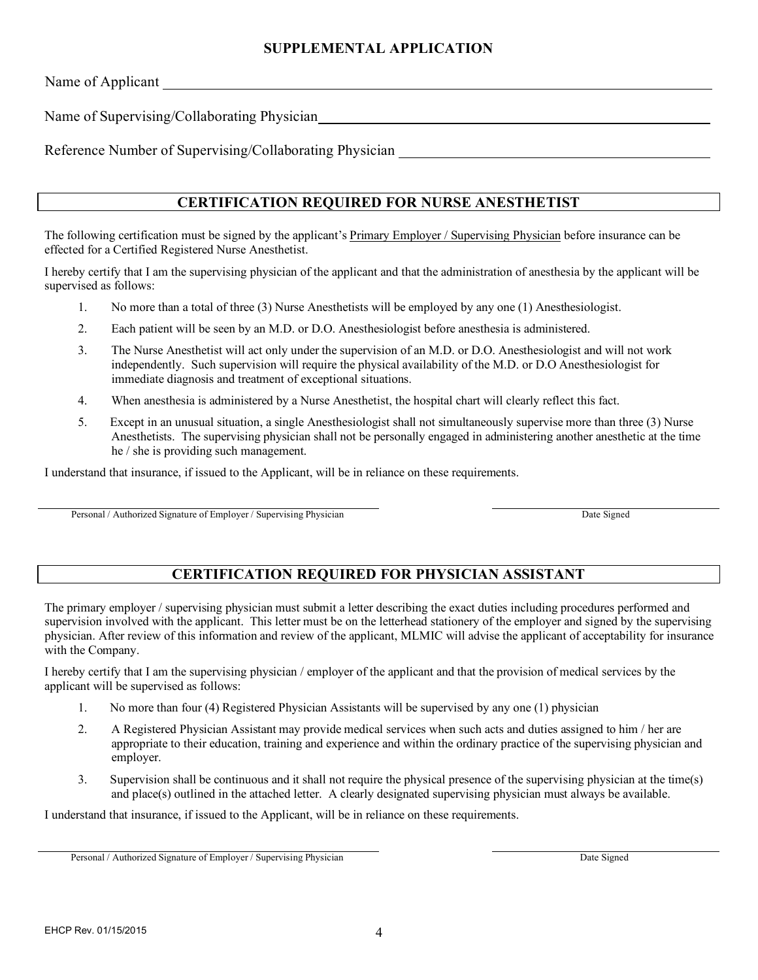### **SUPPLEMENTAL APPLICATION**

Name of Applicant

Name of Supervising/Collaborating Physician

Reference Number of Supervising/Collaborating Physician

### **CERTIFICATION REQUIRED FOR NURSE ANESTHETIST**

The following certification must be signed by the applicant's Primary Employer / Supervising Physician before insurance can be effected for a Certified Registered Nurse Anesthetist.

I hereby certify that I am the supervising physician of the applicant and that the administration of anesthesia by the applicant will be supervised as follows:

- 1. No more than a total of three (3) Nurse Anesthetists will be employed by any one (1) Anesthesiologist.
- 2. Each patient will be seen by an M.D. or D.O. Anesthesiologist before anesthesia is administered.
- 3. The Nurse Anesthetist will act only under the supervision of an M.D. or D.O. Anesthesiologist and will not work independently. Such supervision will require the physical availability of the M.D. or D.O Anesthesiologist for immediate diagnosis and treatment of exceptional situations.
- 4. When anesthesia is administered by a Nurse Anesthetist, the hospital chart will clearly reflect this fact.
- 5. Except in an unusual situation, a single Anesthesiologist shall not simultaneously supervise more than three (3) Nurse Anesthetists. The supervising physician shall not be personally engaged in administering another anesthetic at the time he / she is providing such management.

I understand that insurance, if issued to the Applicant, will be in reliance on these requirements.

Personal / Authorized Signature of Employer / Supervising Physician Date Signed Date Signed

# **CERTIFICATION REQUIRED FOR PHYSICIAN ASSISTANT**

The primary employer / supervising physician must submit a letter describing the exact duties including procedures performed and supervision involved with the applicant. This letter must be on the letterhead stationery of the employer and signed by the supervising physician. After review of this information and review of the applicant, MLMIC will advise the applicant of acceptability for insurance with the Company.

I hereby certify that I am the supervising physician / employer of the applicant and that the provision of medical services by the applicant will be supervised as follows:

- 1. No more than four (4) Registered Physician Assistants will be supervised by any one (1) physician
- 2. A Registered Physician Assistant may provide medical services when such acts and duties assigned to him / her are appropriate to their education, training and experience and within the ordinary practice of the supervising physician and employer.
- 3. Supervision shall be continuous and it shall not require the physical presence of the supervising physician at the time(s) and place(s) outlined in the attached letter. A clearly designated supervising physician must always be available.

I understand that insurance, if issued to the Applicant, will be in reliance on these requirements.

Personal / Authorized Signature of Employer / Supervising Physician Date Signed Date Signed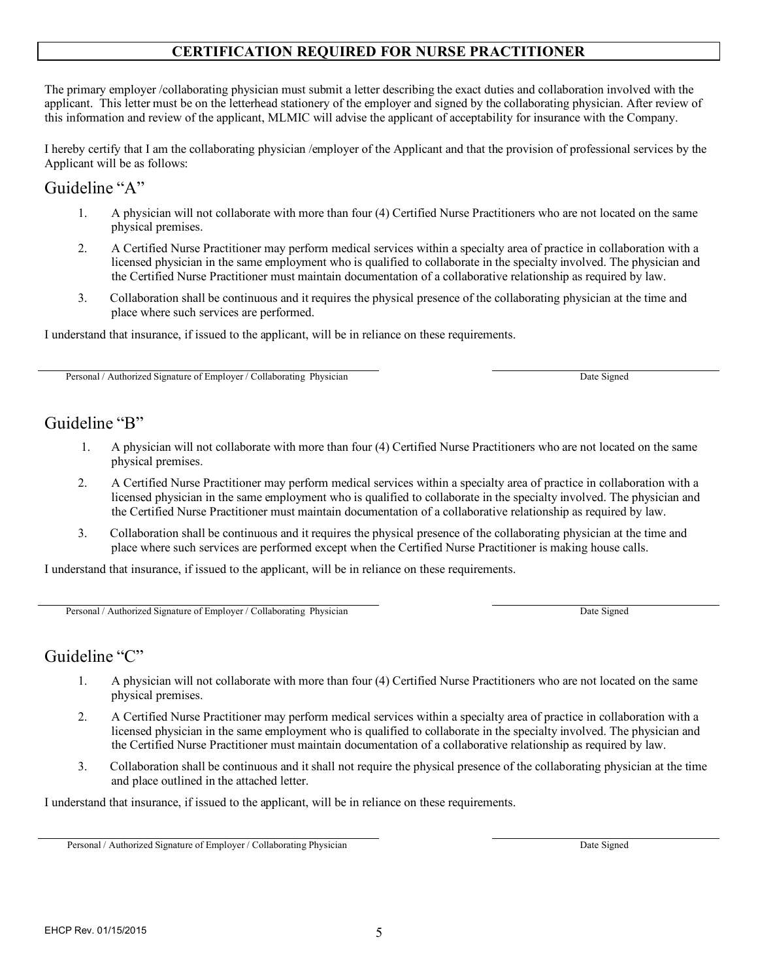# **CERTIFICATION REQUIRED FOR NURSE PRACTITIONER**

The primary employer /collaborating physician must submit a letter describing the exact duties and collaboration involved with the applicant. This letter must be on the letterhead stationery of the employer and signed by the collaborating physician. After review of this information and review of the applicant, MLMIC will advise the applicant of acceptability for insurance with the Company.

I hereby certify that I am the collaborating physician /employer of the Applicant and that the provision of professional services by the Applicant will be as follows:

## Guideline "A"

- 1. A physician will not collaborate with more than four (4) Certified Nurse Practitioners who are not located on the same physical premises.
- 2. A Certified Nurse Practitioner may perform medical services within a specialty area of practice in collaboration with a licensed physician in the same employment who is qualified to collaborate in the specialty involved. The physician and the Certified Nurse Practitioner must maintain documentation of a collaborative relationship as required by law.
- 3. Collaboration shall be continuous and it requires the physical presence of the collaborating physician at the time and place where such services are performed.

I understand that insurance, if issued to the applicant, will be in reliance on these requirements.

Personal / Authorized Signature of Employer / Collaborating Physician Date Signed Date Signed

# Guideline "B"

- 1. A physician will not collaborate with more than four (4) Certified Nurse Practitioners who are not located on the same physical premises.
- 2. A Certified Nurse Practitioner may perform medical services within a specialty area of practice in collaboration with a licensed physician in the same employment who is qualified to collaborate in the specialty involved. The physician and the Certified Nurse Practitioner must maintain documentation of a collaborative relationship as required by law.
- 3. Collaboration shall be continuous and it requires the physical presence of the collaborating physician at the time and place where such services are performed except when the Certified Nurse Practitioner is making house calls.

I understand that insurance, if issued to the applicant, will be in reliance on these requirements.

Personal / Authorized Signature of Employer / Collaborating Physician Date Signed

# Guideline "C"

- 1. A physician will not collaborate with more than four (4) Certified Nurse Practitioners who are not located on the same physical premises.
- 2. A Certified Nurse Practitioner may perform medical services within a specialty area of practice in collaboration with a licensed physician in the same employment who is qualified to collaborate in the specialty involved. The physician and the Certified Nurse Practitioner must maintain documentation of a collaborative relationship as required by law.
- 3. Collaboration shall be continuous and it shall not require the physical presence of the collaborating physician at the time and place outlined in the attached letter.

I understand that insurance, if issued to the applicant, will be in reliance on these requirements.

Personal / Authorized Signature of Employer / Collaborating Physician Date Signed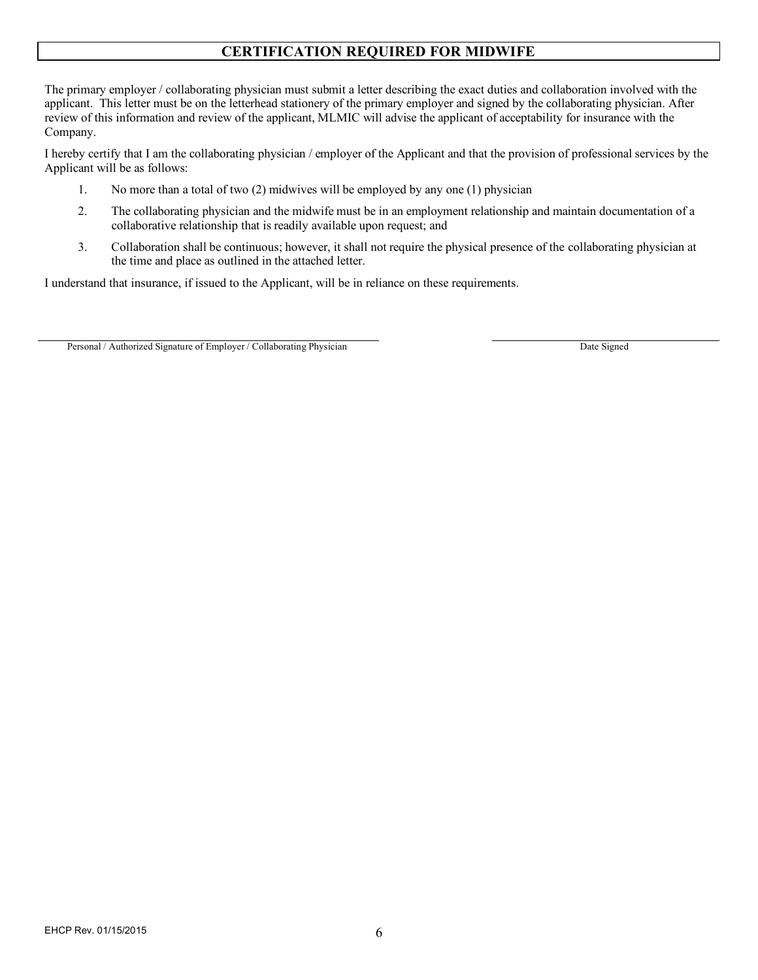# **CERTIFICATION REQUIRED FOR MIDWIFE**

The primary employer / collaborating physician must submit a letter describing the exact duties and collaboration involved with the applicant. This letter must be on the letterhead stationery of the primary employer and signed by the collaborating physician. After review of this information and review of the applicant, MLMIC will advise the applicant of acceptability for insurance with the Company.

I hereby certify that I am the collaborating physician / employer of the Applicant and that the provision of professional services by the Applicant will be as follows:

- 1. No more than a total of two (2) midwives will be employed by any one (1) physician
- 2. The collaborating physician and the midwife must be in an employment relationship and maintain documentation of a collaborative relationship that is readily available upon request; and
- 3. Collaboration shall be continuous; however, it shall not require the physical presence of the collaborating physician at the time and place as outlined in the attached letter.

I understand that insurance, if issued to the Applicant, will be in reliance on these requirements.

Personal / Authorized Signature of Employer / Collaborating Physician Date Signed Date Signed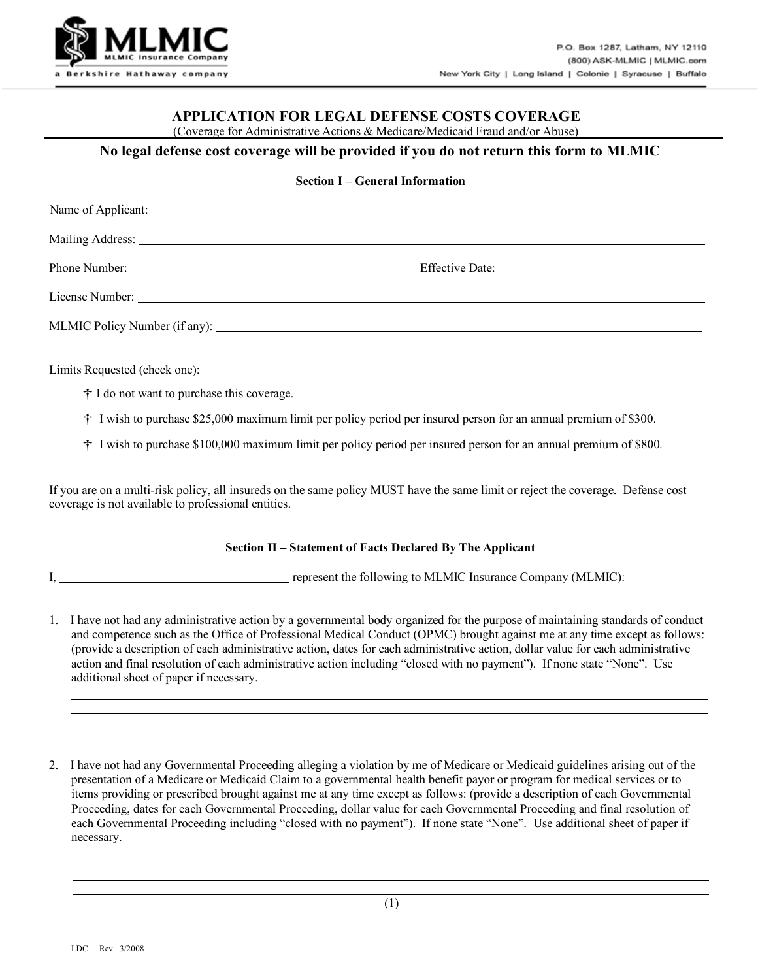

### **APPLICATION FOR LEGAL DEFENSE COSTS COVERAGE**

(Coverage for Administrative Actions & Medicare/Medicaid Fraud and/or Abuse)

#### **No legal defense cost coverage will be provided if you do not return this form to MLMIC**

#### **Section I – General Information**

Limits Requested (check one):

- † I do not want to purchase this coverage.
- † I wish to purchase \$25,000 maximum limit per policy period per insured person for an annual premium of \$300.

† I wish to purchase \$100,000 maximum limit per policy period per insured person for an annual premium of \$800.

If you are on a multi-risk policy, all insureds on the same policy MUST have the same limit or reject the coverage. Defense cost coverage is not available to professional entities.

#### **Section II – Statement of Facts Declared By The Applicant**

I, **represent the following to MLMIC Insurance Company (MLMIC):** 

- 1. I have not had any administrative action by a governmental body organized for the purpose of maintaining standards of conduct and competence such as the Office of Professional Medical Conduct (OPMC) brought against me at any time except as follows: (provide a description of each administrative action, dates for each administrative action, dollar value for each administrative action and final resolution of each administrative action including "closed with no payment"). If none state "None". Use additional sheet of paper if necessary.
- 2. I have not had any Governmental Proceeding alleging a violation by me of Medicare or Medicaid guidelines arising out of the presentation of a Medicare or Medicaid Claim to a governmental health benefit payor or program for medical services or to items providing or prescribed brought against me at any time except as follows: (provide a description of each Governmental Proceeding, dates for each Governmental Proceeding, dollar value for each Governmental Proceeding and final resolution of each Governmental Proceeding including "closed with no payment"). If none state "None". Use additional sheet of paper if necessary.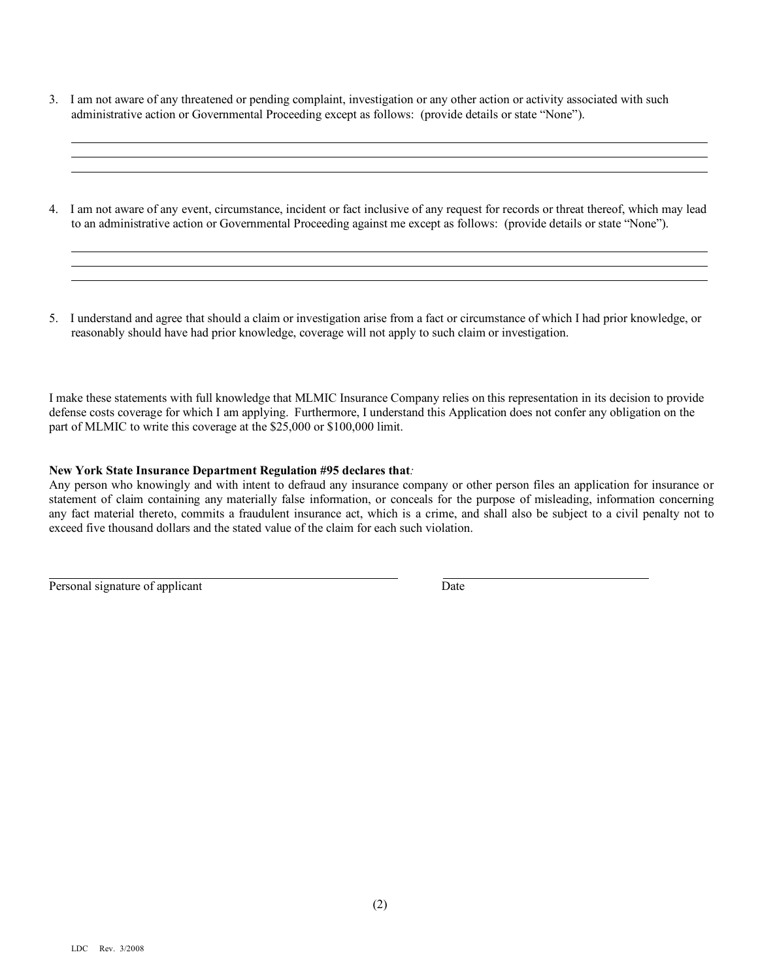- 3. I am not aware of any threatened or pending complaint, investigation or any other action or activity associated with such administrative action or Governmental Proceeding except as follows: (provide details or state "None").
- 4. I am not aware of any event, circumstance, incident or fact inclusive of any request for records or threat thereof, which may lead to an administrative action or Governmental Proceeding against me except as follows: (provide details or state "None").
- 5. I understand and agree that should a claim or investigation arise from a fact or circumstance of which I had prior knowledge, or reasonably should have had prior knowledge, coverage will not apply to such claim or investigation.

I make these statements with full knowledge that MLMIC Insurance Company relies on this representation in its decision to provide defense costs coverage for which I am applying. Furthermore, I understand this Application does not confer any obligation on the part of MLMIC to write this coverage at the \$25,000 or \$100,000 limit.

#### **New York State Insurance Department Regulation #95 declares that***:*

Any person who knowingly and with intent to defraud any insurance company or other person files an application for insurance or statement of claim containing any materially false information, or conceals for the purpose of misleading, information concerning any fact material thereto, commits a fraudulent insurance act, which is a crime, and shall also be subject to a civil penalty not to exceed five thousand dollars and the stated value of the claim for each such violation.

Personal signature of applicant Date